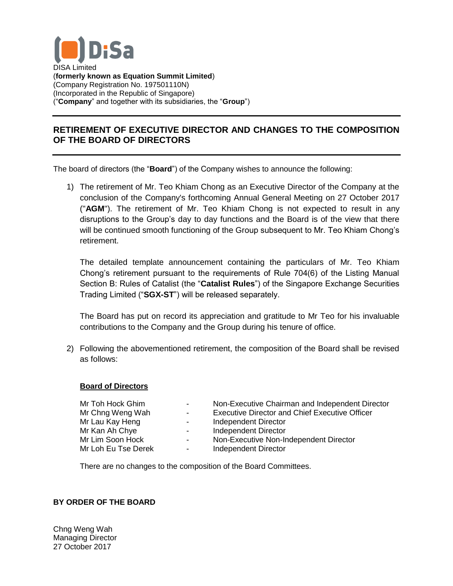

## **RETIREMENT OF EXECUTIVE DIRECTOR AND CHANGES TO THE COMPOSITION OF THE BOARD OF DIRECTORS**

The board of directors (the "**Board**") of the Company wishes to announce the following:

1) The retirement of Mr. Teo Khiam Chong as an Executive Director of the Company at the conclusion of the Company's forthcoming Annual General Meeting on 27 October 2017 ("**AGM**"). The retirement of Mr. Teo Khiam Chong is not expected to result in any disruptions to the Group's day to day functions and the Board is of the view that there will be continued smooth functioning of the Group subsequent to Mr. Teo Khiam Chong's retirement.

The detailed template announcement containing the particulars of Mr. Teo Khiam Chong's retirement pursuant to the requirements of Rule 704(6) of the Listing Manual Section B: Rules of Catalist (the "**Catalist Rules**") of the Singapore Exchange Securities Trading Limited ("**SGX-ST**") will be released separately.

The Board has put on record its appreciation and gratitude to Mr Teo for his invaluable contributions to the Company and the Group during his tenure of office.

2) Following the abovementioned retirement, the composition of the Board shall be revised as follows:

## **Board of Directors**

| Mr Toh Hock Ghim    | $\sim$           | Non-Executive Chairman and Independent Director       |
|---------------------|------------------|-------------------------------------------------------|
| Mr Chng Weng Wah    | $\sim$           | <b>Executive Director and Chief Executive Officer</b> |
| Mr Lau Kay Heng     | $\sim$ 100 $\mu$ | Independent Director                                  |
| Mr Kan Ah Chye      | $\sim$           | <b>Independent Director</b>                           |
| Mr Lim Soon Hock    | $\blacksquare$   | Non-Executive Non-Independent Director                |
| Mr Loh Eu Tse Derek | $\sim$           | <b>Independent Director</b>                           |
|                     |                  |                                                       |

There are no changes to the composition of the Board Committees.

## **BY ORDER OF THE BOARD**

Chng Weng Wah Managing Director 27 October 2017